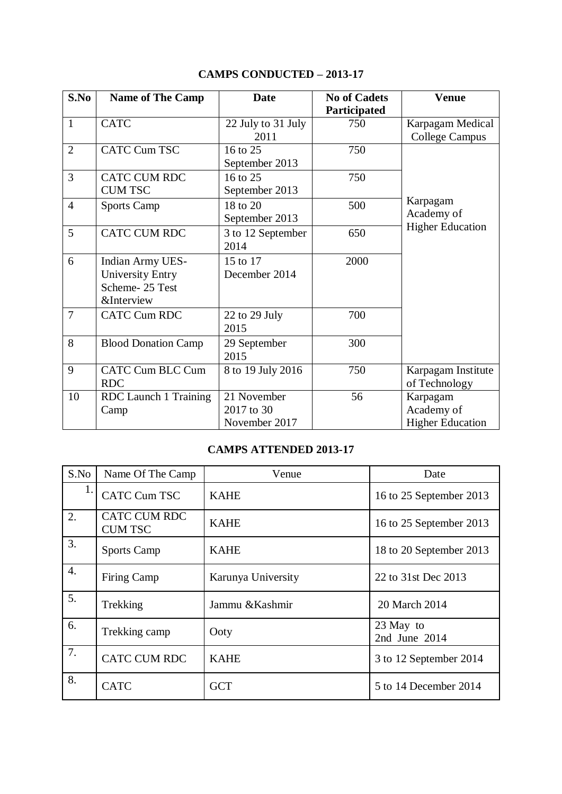| S.No           | <b>Name of The Camp</b>                                                                       | <b>Date</b>                                | <b>No of Cadets</b><br>Participated | <b>Venue</b>                                      |
|----------------|-----------------------------------------------------------------------------------------------|--------------------------------------------|-------------------------------------|---------------------------------------------------|
| $\mathbf{1}$   | <b>CATC</b>                                                                                   | 22 July to 31 July<br>2011                 | 750                                 | Karpagam Medical<br><b>College Campus</b>         |
| 2              | <b>CATC Cum TSC</b>                                                                           | 16 to 25<br>September 2013                 | 750                                 |                                                   |
| 3              | <b>CATC CUM RDC</b><br><b>CUM TSC</b>                                                         | 16 to 25<br>September 2013                 | 750                                 |                                                   |
| $\overline{4}$ | <b>Sports Camp</b>                                                                            | 18 to 20<br>September 2013                 | 500                                 | Karpagam<br>Academy of                            |
| 5              | CATC CUM RDC                                                                                  | 3 to 12 September<br>2014                  | 650                                 | <b>Higher Education</b>                           |
| 6              | <b>Indian Army UES-</b><br><b>University Entry</b><br>Scheme-25 Test<br><b>&amp;Interview</b> | 15 to 17<br>December 2014                  | 2000                                |                                                   |
| $\overline{7}$ | <b>CATC Cum RDC</b>                                                                           | 22 to 29 July<br>2015                      | 700                                 |                                                   |
| 8              | <b>Blood Donation Camp</b>                                                                    | 29 September<br>2015                       | 300                                 |                                                   |
| 9              | <b>CATC Cum BLC Cum</b><br><b>RDC</b>                                                         | 8 to 19 July 2016                          | 750                                 | Karpagam Institute<br>of Technology               |
| 10             | RDC Launch 1 Training<br>Camp                                                                 | 21 November<br>2017 to 30<br>November 2017 | 56                                  | Karpagam<br>Academy of<br><b>Higher Education</b> |

## **CAMPS CONDUCTED – 2013-17**

## **CAMPS ATTENDED 2013-17**

| S.No | Name Of The Camp               | Venue              | Date                       |
|------|--------------------------------|--------------------|----------------------------|
| 1.   | <b>CATC Cum TSC</b>            | <b>KAHE</b>        | 16 to 25 September 2013    |
| 2.   | CATC CUM RDC<br><b>CUM TSC</b> | <b>KAHE</b>        | 16 to 25 September 2013    |
| 3.   | <b>Sports Camp</b>             | <b>KAHE</b>        | 18 to 20 September 2013    |
| 4.   | Firing Camp                    | Karunya University | 22 to 31st Dec 2013        |
| 5.   | Trekking                       | Jammu & Kashmir    | 20 March 2014              |
| 6.   | Trekking camp                  | Ooty               | 23 May to<br>2nd June 2014 |
| 7.   | <b>CATC CUM RDC</b>            | <b>KAHE</b>        | 3 to 12 September 2014     |
| 8.   | <b>CATC</b>                    | <b>GCT</b>         | 5 to 14 December 2014      |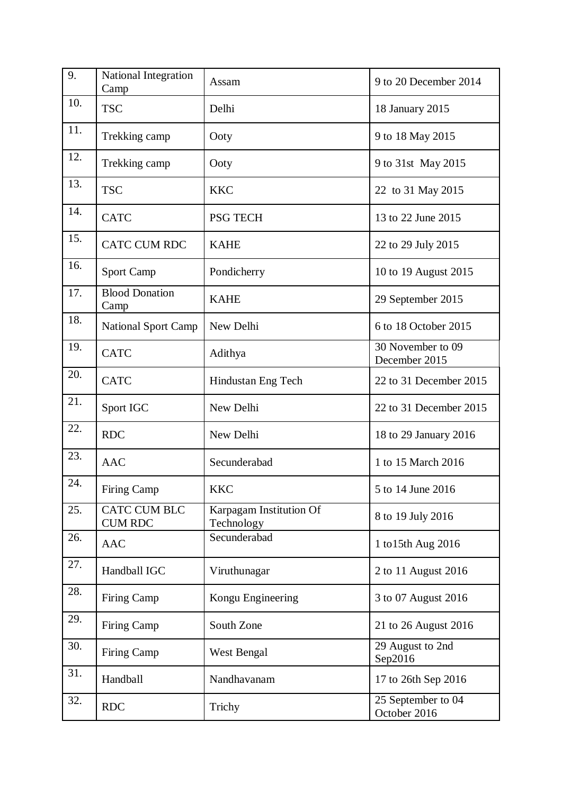| 9.  | National Integration<br>Camp          | Assam                                 | 9 to 20 December 2014              |
|-----|---------------------------------------|---------------------------------------|------------------------------------|
| 10. | <b>TSC</b>                            | Delhi                                 | 18 January 2015                    |
| 11. | Trekking camp                         | Ooty                                  | 9 to 18 May 2015                   |
| 12. | Trekking camp                         | Ooty                                  | 9 to 31st May 2015                 |
| 13. | <b>TSC</b>                            | <b>KKC</b>                            | 22 to 31 May 2015                  |
| 14. | <b>CATC</b>                           | <b>PSG TECH</b>                       | 13 to 22 June 2015                 |
| 15. | <b>CATC CUM RDC</b>                   | <b>KAHE</b>                           | 22 to 29 July 2015                 |
| 16. | Sport Camp                            | Pondicherry                           | 10 to 19 August 2015               |
| 17. | <b>Blood Donation</b><br>Camp         | <b>KAHE</b>                           | 29 September 2015                  |
| 18. | <b>National Sport Camp</b>            | New Delhi                             | 6 to 18 October 2015               |
| 19. | <b>CATC</b>                           | Adithya                               | 30 November to 09<br>December 2015 |
| 20. | <b>CATC</b>                           | Hindustan Eng Tech                    | 22 to 31 December 2015             |
| 21. | Sport IGC                             | New Delhi                             | 22 to 31 December 2015             |
| 22. | <b>RDC</b>                            | New Delhi                             | 18 to 29 January 2016              |
| 23. | <b>AAC</b>                            | Secunderabad                          | 1 to 15 March 2016                 |
| 24. | Firing Camp                           | <b>KKC</b>                            | 5 to 14 June 2016                  |
| 25. | <b>CATC CUM BLC</b><br><b>CUM RDC</b> | Karpagam Institution Of<br>Technology | 8 to 19 July 2016                  |
| 26. | <b>AAC</b>                            | Secunderabad                          | 1 to 15th Aug 2016                 |
| 27. | Handball IGC                          | Viruthunagar                          | 2 to 11 August 2016                |
| 28. | Firing Camp                           | Kongu Engineering                     | 3 to 07 August 2016                |
| 29. | Firing Camp                           | South Zone                            | 21 to 26 August 2016               |
| 30. | Firing Camp                           | West Bengal                           | 29 August to 2nd<br>Sep2016        |
| 31. | Handball                              | Nandhavanam                           | 17 to 26th Sep 2016                |
| 32. | <b>RDC</b>                            | Trichy                                | 25 September to 04<br>October 2016 |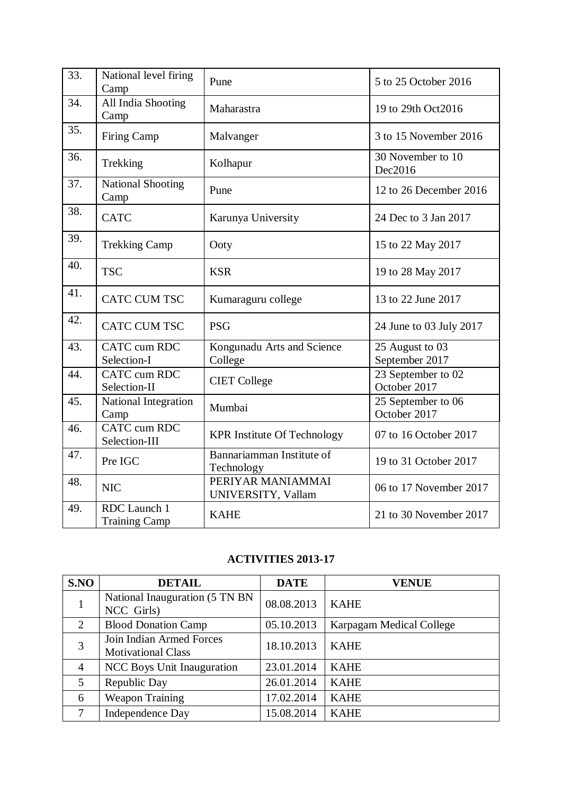| 33. | National level firing<br>Camp        | Pune                                    | 5 to 25 October 2016               |
|-----|--------------------------------------|-----------------------------------------|------------------------------------|
| 34. | All India Shooting<br>Camp           | Maharastra                              | 19 to 29th Oct2016                 |
| 35. | <b>Firing Camp</b>                   | Malvanger                               | 3 to 15 November 2016              |
| 36. | Trekking                             | Kolhapur                                | 30 November to 10<br>Dec2016       |
| 37. | <b>National Shooting</b><br>Camp     | Pune                                    | 12 to 26 December 2016             |
| 38. | <b>CATC</b>                          | Karunya University                      | 24 Dec to 3 Jan 2017               |
| 39. | <b>Trekking Camp</b>                 | Ooty                                    | 15 to 22 May 2017                  |
| 40. | <b>TSC</b>                           | <b>KSR</b>                              | 19 to 28 May 2017                  |
| 41. | <b>CATC CUM TSC</b>                  | Kumaraguru college                      | 13 to 22 June 2017                 |
| 42. | <b>CATC CUM TSC</b>                  | <b>PSG</b>                              | 24 June to 03 July 2017            |
| 43. | <b>CATC</b> cum RDC<br>Selection-I   | Kongunadu Arts and Science<br>College   | 25 August to 03<br>September 2017  |
| 44. | CATC cum RDC<br>Selection-II         | <b>CIET</b> College                     | 23 September to 02<br>October 2017 |
| 45. | National Integration<br>Camp         | Mumbai                                  | 25 September to 06<br>October 2017 |
| 46. | <b>CATC</b> cum RDC<br>Selection-III | <b>KPR Institute Of Technology</b>      | 07 to 16 October 2017              |
| 47. | Pre IGC                              | Bannariamman Institute of<br>Technology | 19 to 31 October 2017              |
| 48. | <b>NIC</b>                           | PERIYAR MANIAMMAI<br>UNIVERSITY, Vallam | 06 to 17 November 2017             |
| 49. | RDC Launch 1<br><b>Training Camp</b> | <b>KAHE</b>                             | 21 to 30 November 2017             |

## **ACTIVITIES 2013-17**

| S.NO           | <b>DETAIL</b>                                         | <b>DATE</b> | <b>VENUE</b>             |
|----------------|-------------------------------------------------------|-------------|--------------------------|
| $\mathbf{1}$   | National Inauguration (5 TN BN<br>NCC Girls)          | 08.08.2013  | <b>KAHE</b>              |
| 2              | <b>Blood Donation Camp</b>                            | 05.10.2013  | Karpagam Medical College |
| 3              | Join Indian Armed Forces<br><b>Motivational Class</b> | 18.10.2013  | <b>KAHE</b>              |
| $\overline{4}$ | <b>NCC Boys Unit Inauguration</b>                     | 23.01.2014  | <b>KAHE</b>              |
| 5              | Republic Day                                          | 26.01.2014  | <b>KAHE</b>              |
| 6              | <b>Weapon Training</b>                                | 17.02.2014  | <b>KAHE</b>              |
| 7              | <b>Independence Day</b>                               | 15.08.2014  | <b>KAHE</b>              |